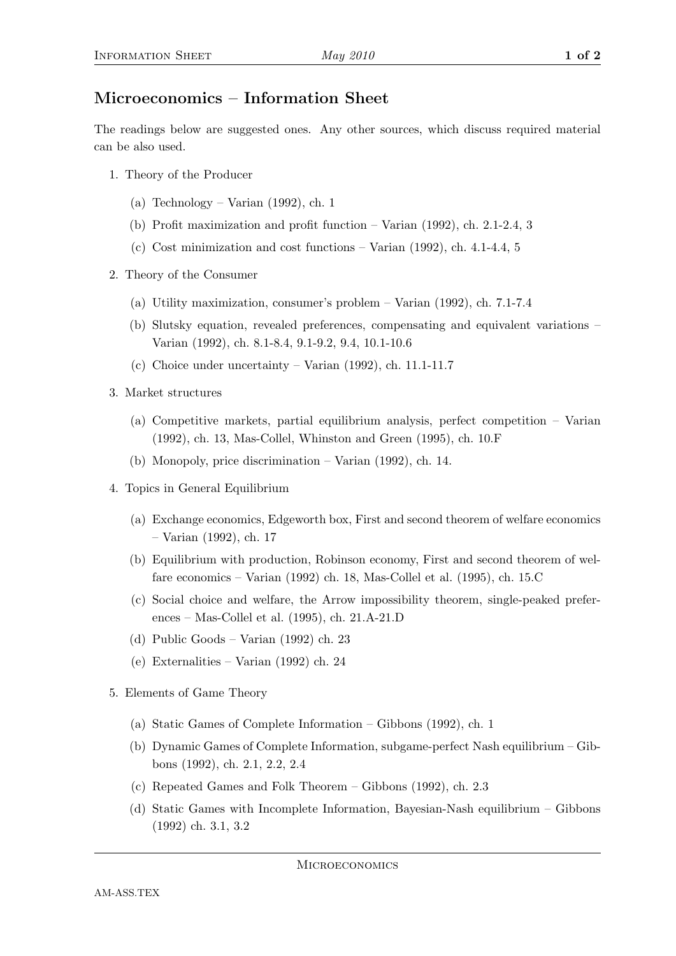## Microeconomics – Information Sheet

The readings below are suggested ones. Any other sources, which discuss required material can be also used.

- 1. Theory of the Producer
	- (a) Technology Varian (1992), ch. 1
	- (b) Profit maximization and profit function Varian (1992), ch. 2.1-2.4, 3
	- (c) Cost minimization and cost functions Varian (1992), ch. 4.1-4.4, 5
- 2. Theory of the Consumer
	- (a) Utility maximization, consumer's problem Varian (1992), ch. 7.1-7.4
	- (b) Slutsky equation, revealed preferences, compensating and equivalent variations Varian (1992), ch. 8.1-8.4, 9.1-9.2, 9.4, 10.1-10.6
	- (c) Choice under uncertainty Varian (1992), ch. 11.1-11.7
- 3. Market structures
	- (a) Competitive markets, partial equilibrium analysis, perfect competition Varian (1992), ch. 13, Mas-Collel, Whinston and Green (1995), ch. 10.F
	- (b) Monopoly, price discrimination Varian (1992), ch. 14.
- 4. Topics in General Equilibrium
	- (a) Exchange economics, Edgeworth box, First and second theorem of welfare economics – Varian (1992), ch. 17
	- (b) Equilibrium with production, Robinson economy, First and second theorem of welfare economics – Varian (1992) ch. 18, Mas-Collel et al. (1995), ch. 15.C
	- (c) Social choice and welfare, the Arrow impossibility theorem, single-peaked preferences – Mas-Collel et al. (1995), ch. 21.A-21.D
	- (d) Public Goods Varian (1992) ch. 23
	- (e) Externalities Varian (1992) ch. 24
- 5. Elements of Game Theory
	- (a) Static Games of Complete Information Gibbons (1992), ch. 1
	- (b) Dynamic Games of Complete Information, subgame-perfect Nash equilibrium Gibbons (1992), ch. 2.1, 2.2, 2.4
	- (c) Repeated Games and Folk Theorem Gibbons (1992), ch. 2.3
	- (d) Static Games with Incomplete Information, Bayesian-Nash equilibrium Gibbons (1992) ch. 3.1, 3.2